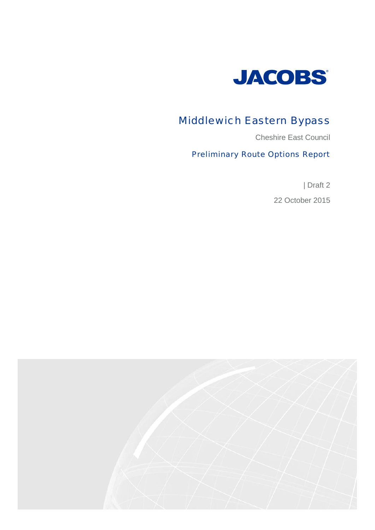

## Middlewich Eastern Bypass

Cheshire East Council

Preliminary Route Options Report

 | Draft 2 22 October 2015

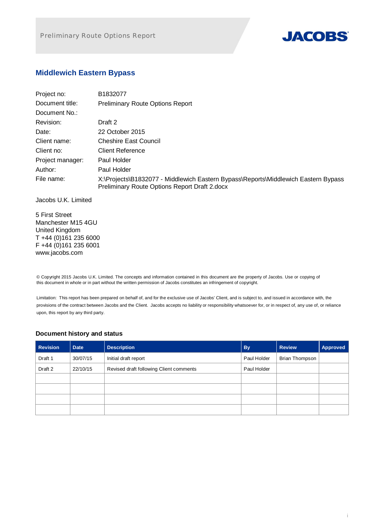

### **Middlewich Eastern Bypass**

| Project no:      | B1832077                                                                                                                            |
|------------------|-------------------------------------------------------------------------------------------------------------------------------------|
| Document title:  | <b>Preliminary Route Options Report</b>                                                                                             |
| Document No.:    |                                                                                                                                     |
| Revision:        | Draft 2                                                                                                                             |
| Date:            | 22 October 2015                                                                                                                     |
| Client name:     | <b>Cheshire East Council</b>                                                                                                        |
| Client no:       | <b>Client Reference</b>                                                                                                             |
| Project manager: | Paul Holder                                                                                                                         |
| Author:          | Paul Holder                                                                                                                         |
| File name:       | X:\Projects\B1832077 - Middlewich Eastern Bypass\Reports\Middlewich Eastern Bypass<br>Preliminary Route Options Report Draft 2.docx |

Jacobs U.K. Limited

5 First Street Manchester M15 4GU United Kingdom T +44 (0)161 235 6000 F +44 (0)161 235 6001 www.jacobs.com

© Copyright 2015 Jacobs U.K. Limited. The concepts and information contained in this document are the property of Jacobs. Use or copying of this document in whole or in part without the written permission of Jacobs constitutes an infringement of copyright.

Limitation: This report has been prepared on behalf of, and for the exclusive use of Jacobs' Client, and is subject to, and issued in accordance with, the provisions of the contract between Jacobs and the Client. Jacobs accepts no liability or responsibility whatsoever for, or in respect of, any use of, or reliance upon, this report by any third party.

#### **Document history and status**

| <b>Revision</b> | <b>Date</b> | <b>Description</b>                      | <b>By</b>   | <b>Review</b>         | Approved |
|-----------------|-------------|-----------------------------------------|-------------|-----------------------|----------|
| Draft 1         | 30/07/15    | Initial draft report                    | Paul Holder | <b>Brian Thompson</b> |          |
| Draft 2         | 22/10/15    | Revised draft following Client comments | Paul Holder |                       |          |
|                 |             |                                         |             |                       |          |
|                 |             |                                         |             |                       |          |
|                 |             |                                         |             |                       |          |
|                 |             |                                         |             |                       |          |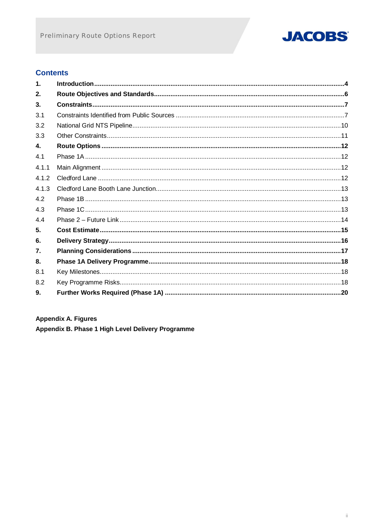

## **Contents**

| $\mathbf{1}$ |  |
|--------------|--|
| 2.           |  |
| 3.           |  |
| 3.1          |  |
| 3.2          |  |
| 3.3          |  |
| $\mathbf{4}$ |  |
| 4.1          |  |
| 4.1.1        |  |
| 4.1.2        |  |
| 4.1.3        |  |
| 4.2          |  |
| 4.3          |  |
| 4.4          |  |
| 5.           |  |
| 6.           |  |
| 7.           |  |
| 8.           |  |
| 8.1          |  |
| 8.2          |  |
| 9.           |  |

### **Appendix A. Figures**

Appendix B. Phase 1 High Level Delivery Programme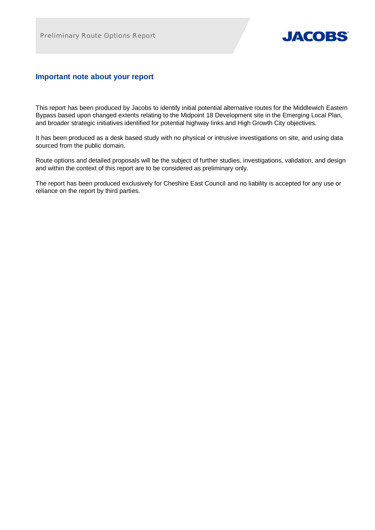

#### **Important note about your report**

This report has been produced by Jacobs to identify initial potential alternative routes for the Middlewich Eastern Bypass based upon changed extents relating to the Midpoint 18 Development site in the Emerging Local Plan, and broader strategic initiatives identified for potential highway links and High Growth City objectives.

It has been produced as a desk based study with no physical or intrusive investigations on site, and using data sourced from the public domain.

Route options and detailed proposals will be the subject of further studies, investigations, validation, and design and within the context of this report are to be considered as preliminary only.

The report has been produced exclusively for Cheshire East Council and no liability is accepted for any use or reliance on the report by third parties.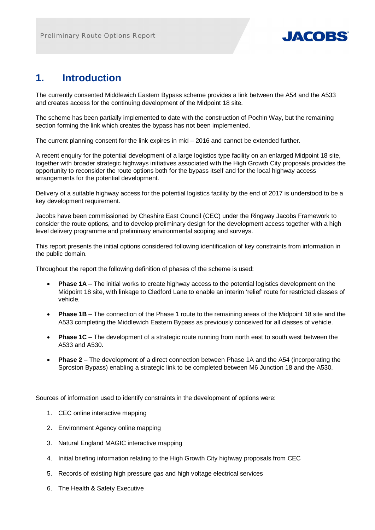

## **1. Introduction**

The currently consented Middlewich Eastern Bypass scheme provides a link between the A54 and the A533 and creates access for the continuing development of the Midpoint 18 site.

The scheme has been partially implemented to date with the construction of Pochin Way, but the remaining section forming the link which creates the bypass has not been implemented.

The current planning consent for the link expires in mid – 2016 and cannot be extended further.

A recent enquiry for the potential development of a large logistics type facility on an enlarged Midpoint 18 site, together with broader strategic highways initiatives associated with the High Growth City proposals provides the opportunity to reconsider the route options both for the bypass itself and for the local highway access arrangements for the potential development.

Delivery of a suitable highway access for the potential logistics facility by the end of 2017 is understood to be a key development requirement.

Jacobs have been commissioned by Cheshire East Council (CEC) under the Ringway Jacobs Framework to consider the route options, and to develop preliminary design for the development access together with a high level delivery programme and preliminary environmental scoping and surveys.

This report presents the initial options considered following identification of key constraints from information in the public domain.

Throughout the report the following definition of phases of the scheme is used:

- **Phase 1A** The initial works to create highway access to the potential logistics development on the Midpoint 18 site, with linkage to Cledford Lane to enable an interim 'relief' route for restricted classes of vehicle.
- Phase 1B The connection of the Phase 1 route to the remaining areas of the Midpoint 18 site and the A533 completing the Middlewich Eastern Bypass as previously conceived for all classes of vehicle.
- **Phase 1C** The development of a strategic route running from north east to south west between the A533 and A530.
- **Phase 2** The development of a direct connection between Phase 1A and the A54 (incorporating the Sproston Bypass) enabling a strategic link to be completed between M6 Junction 18 and the A530.

Sources of information used to identify constraints in the development of options were:

- 1. CEC online interactive mapping
- 2. Environment Agency online mapping
- 3. Natural England MAGIC interactive mapping
- 4. Initial briefing information relating to the High Growth City highway proposals from CEC
- 5. Records of existing high pressure gas and high voltage electrical services
- 6. The Health & Safety Executive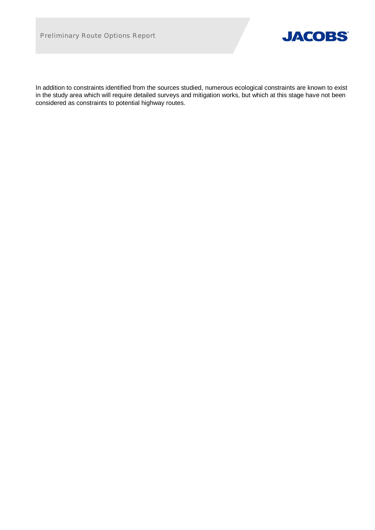

In addition to constraints identified from the sources studied, numerous ecological constraints are known to exist in the study area which will require detailed surveys and mitigation works, but which at this stage have not been considered as constraints to potential highway routes.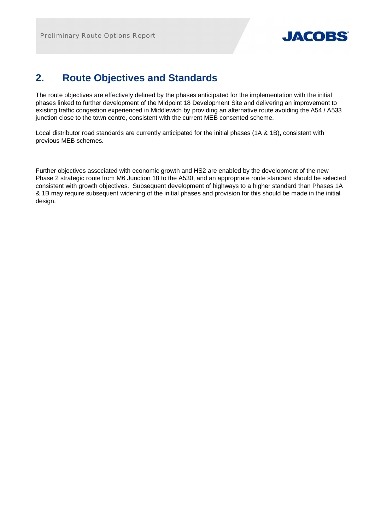

## **2. Route Objectives and Standards**

The route objectives are effectively defined by the phases anticipated for the implementation with the initial phases linked to further development of the Midpoint 18 Development Site and delivering an improvement to existing traffic congestion experienced in Middlewich by providing an alternative route avoiding the A54 / A533 junction close to the town centre, consistent with the current MEB consented scheme.

Local distributor road standards are currently anticipated for the initial phases (1A & 1B), consistent with previous MEB schemes.

Further objectives associated with economic growth and HS2 are enabled by the development of the new Phase 2 strategic route from M6 Junction 18 to the A530, and an appropriate route standard should be selected consistent with growth objectives. Subsequent development of highways to a higher standard than Phases 1A & 1B may require subsequent widening of the initial phases and provision for this should be made in the initial design.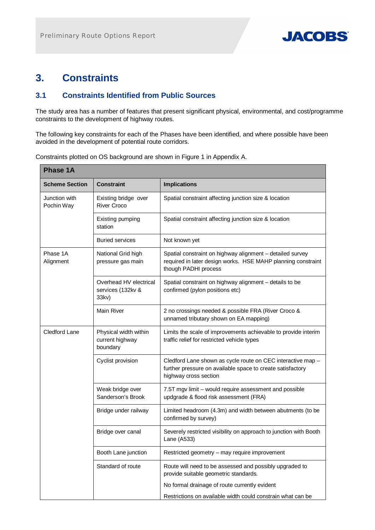

## **3. Constraints**

### **3.1 Constraints Identified from Public Sources**

The study area has a number of features that present significant physical, environmental, and cost/programme constraints to the development of highway routes.

The following key constraints for each of the Phases have been identified, and where possible have been avoided in the development of potential route corridors.

Constraints plotted on OS background are shown in Figure 1 in Appendix A.

| Phase 1A                    |                                                      |                                                                                                                                                    |  |
|-----------------------------|------------------------------------------------------|----------------------------------------------------------------------------------------------------------------------------------------------------|--|
| <b>Scheme Section</b>       | <b>Constraint</b>                                    | <b>Implications</b>                                                                                                                                |  |
| Junction with<br>Pochin Way | Existing bridge over<br><b>River Croco</b>           | Spatial constraint affecting junction size & location                                                                                              |  |
|                             | Existing pumping<br>station                          | Spatial constraint affecting junction size & location                                                                                              |  |
|                             | <b>Buried services</b>                               | Not known yet                                                                                                                                      |  |
| Phase 1A<br>Alignment       | National Grid high<br>pressure gas main              | Spatial constraint on highway alignment - detailed survey<br>required in later design works. HSE MAHP planning constraint<br>though PADHI process  |  |
|                             | Overhead HV electrical<br>services (132kv &<br>33kv) | Spatial constraint on highway alignment - details to be<br>confirmed (pylon positions etc)                                                         |  |
|                             | Main River                                           | 2 no crossings needed & possible FRA (River Croco &<br>unnamed tributary shown on EA mapping)                                                      |  |
| Cledford Lane               | Physical width within<br>current highway<br>boundary | Limits the scale of improvements achievable to provide interim<br>traffic relief for restricted vehicle types                                      |  |
|                             | Cyclist provision                                    | Cledford Lane shown as cycle route on CEC interactive map -<br>further pressure on available space to create satisfactory<br>highway cross section |  |
|                             | Weak bridge over<br>Sanderson's Brook                | 7.5T mgv limit - would require assessment and possible<br>updgrade & flood risk assessment (FRA)                                                   |  |
|                             | Bridge under railway                                 | Limited headroom (4.3m) and width between abutments (to be<br>confirmed by survey)                                                                 |  |
|                             | Bridge over canal                                    | Severely restricted visibility on approach to junction with Booth<br>Lane (A533)                                                                   |  |
|                             | Booth Lane junction                                  | Restricted geometry - may require improvement                                                                                                      |  |
|                             | Standard of route                                    | Route will need to be assessed and possibly upgraded to<br>provide suitable geometric standards.                                                   |  |
|                             |                                                      | No formal drainage of route currently evident                                                                                                      |  |
|                             |                                                      | Restrictions on available width could constrain what can be                                                                                        |  |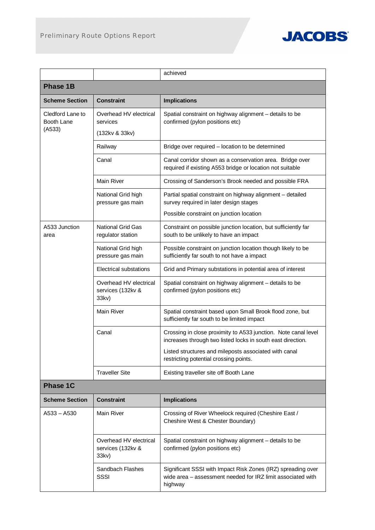

|                                          |                                                      | achieved                                                                                                                               |  |
|------------------------------------------|------------------------------------------------------|----------------------------------------------------------------------------------------------------------------------------------------|--|
| Phase 1B                                 |                                                      |                                                                                                                                        |  |
| <b>Scheme Section</b>                    | <b>Constraint</b>                                    | <b>Implications</b>                                                                                                                    |  |
| Cledford Lane to<br>Booth Lane<br>(A533) | Overhead HV electrical<br>services                   | Spatial constraint on highway alignment - details to be<br>confirmed (pylon positions etc)                                             |  |
|                                          | (132kv & 33kv)                                       |                                                                                                                                        |  |
|                                          | Railway                                              | Bridge over required - location to be determined                                                                                       |  |
|                                          | Canal                                                | Canal corridor shown as a conservation area. Bridge over<br>required if existing A553 bridge or location not suitable                  |  |
|                                          | Main River                                           | Crossing of Sanderson's Brook needed and possible FRA                                                                                  |  |
|                                          | National Grid high<br>pressure gas main              | Partial spatial constraint on highway alignment - detailed<br>survey required in later design stages                                   |  |
|                                          |                                                      | Possible constraint on junction location                                                                                               |  |
| A533 Junction<br>area                    | <b>National Grid Gas</b><br>regulator station        | Constraint on possible junction location, but sufficiently far<br>south to be unlikely to have an impact                               |  |
|                                          | National Grid high<br>pressure gas main              | Possible constraint on junction location though likely to be<br>sufficiently far south to not have a impact                            |  |
|                                          | Electrical substations                               | Grid and Primary substations in potential area of interest                                                                             |  |
|                                          | Overhead HV electrical<br>services (132kv &<br>33kv) | Spatial constraint on highway alignment - details to be<br>confirmed (pylon positions etc)                                             |  |
|                                          | <b>Main River</b>                                    | Spatial constraint based upon Small Brook flood zone, but<br>sufficiently far south to be limited impact                               |  |
|                                          | Canal                                                | Crossing in close proximity to A533 junction. Note canal level<br>increases through two listed locks in south east direction.          |  |
|                                          |                                                      | Listed structures and mileposts associated with canal<br>restricting potential crossing points.                                        |  |
|                                          | <b>Traveller Site</b>                                | Existing traveller site off Booth Lane                                                                                                 |  |
| <b>Phase 1C</b>                          |                                                      |                                                                                                                                        |  |
| <b>Scheme Section</b>                    | <b>Constraint</b>                                    | <b>Implications</b>                                                                                                                    |  |
| $A533 - A530$                            | Main River                                           | Crossing of River Wheelock required (Cheshire East /<br>Cheshire West & Chester Boundary)                                              |  |
|                                          | Overhead HV electrical<br>services (132kv &<br>33kv) | Spatial constraint on highway alignment - details to be<br>confirmed (pylon positions etc)                                             |  |
|                                          | Sandbach Flashes<br>SSSI                             | Significant SSSI with Impact Risk Zones (IRZ) spreading over<br>wide area – assessment needed for IRZ limit associated with<br>highway |  |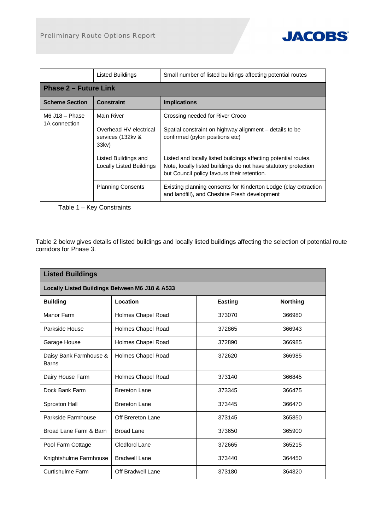

|                                   | Listed Buildings                                    | Small number of listed buildings affecting potential routes                                                                                                                       |  |
|-----------------------------------|-----------------------------------------------------|-----------------------------------------------------------------------------------------------------------------------------------------------------------------------------------|--|
| <b>Phase 2 – Future Link</b>      |                                                     |                                                                                                                                                                                   |  |
| <b>Scheme Section</b>             | <b>Constraint</b>                                   | <b>Implications</b>                                                                                                                                                               |  |
| $M6$ J18 - Phase<br>1A connection | Main River                                          | Crossing needed for River Croco                                                                                                                                                   |  |
|                                   | Overhead HV electrical<br>services (132kv &<br>33kv | Spatial constraint on highway alignment – details to be<br>confirmed (pylon positions etc)                                                                                        |  |
|                                   | Listed Buildings and<br>Locally Listed Buildings    | Listed and locally listed buildings affecting potential routes.<br>Note, locally listed buildings do not have statutory protection<br>but Council policy favours their retention. |  |
|                                   | <b>Planning Consents</b>                            | Existing planning consents for Kinderton Lodge (clay extraction<br>and landfill), and Cheshire Fresh development                                                                  |  |

Table 1 – Key Constraints

Table 2 below gives details of listed buildings and locally listed buildings affecting the selection of potential route corridors for Phase 3.

| <b>Listed Buildings</b>                        |                      |                |                 |
|------------------------------------------------|----------------------|----------------|-----------------|
| Locally Listed Buildings Between M6 J18 & A533 |                      |                |                 |
| <b>Building</b>                                | Location             | <b>Easting</b> | <b>Northing</b> |
| Manor Farm                                     | Holmes Chapel Road   | 373070         | 366980          |
| Parkside House                                 | Holmes Chapel Road   | 372865         | 366943          |
| Garage House                                   | Holmes Chapel Road   | 372890         | 366985          |
| Daisy Bank Farmhouse &<br><b>Barns</b>         | Holmes Chapel Road   | 372620         | 366985          |
| Dairy House Farm                               | Holmes Chapel Road   | 373140         | 366845          |
| Dock Bank Farm                                 | Brereton Lane        | 373345         | 366475          |
| Sproston Hall                                  | <b>Brereton Lane</b> | 373445         | 366470          |
| Parkside Farmhouse                             | Off Brereton Lane    | 373145         | 365850          |
| Broad Lane Farm & Barn                         | <b>Broad Lane</b>    | 373650         | 365900          |
| Pool Farm Cottage                              | Cledford Lane        | 372665         | 365215          |
| Knightshulme Farmhouse                         | <b>Bradwell Lane</b> | 373440         | 364450          |
| Curtishulme Farm                               | Off Bradwell Lane    | 373180         | 364320          |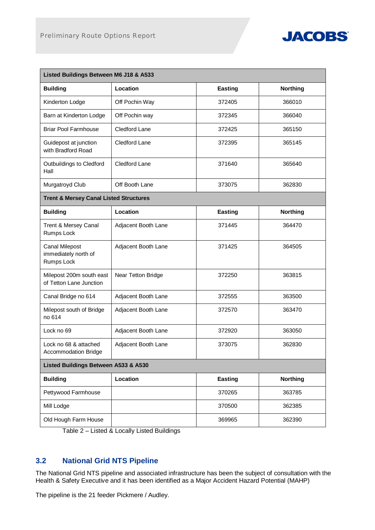

| Listed Buildings Between M6 J18 & A533                      |                      |                |                 |
|-------------------------------------------------------------|----------------------|----------------|-----------------|
| <b>Building</b>                                             | Location             | <b>Easting</b> | <b>Northing</b> |
| Kinderton Lodge                                             | Off Pochin Way       | 372405         | 366010          |
| Barn at Kinderton Lodge                                     | Off Pochin way       | 372345         | 366040          |
| <b>Briar Pool Farmhouse</b>                                 | Cledford Lane        | 372425         | 365150          |
| Guidepost at junction<br>with Bradford Road                 | <b>Cledford Lane</b> | 372395         | 365145          |
| Outbuildings to Cledford<br>Hall                            | Cledford Lane        | 371640         | 365640          |
| Murgatroyd Club                                             | Off Booth Lane       | 373075         | 362830          |
| <b>Trent &amp; Mersey Canal Listed Structures</b>           |                      |                |                 |
| <b>Building</b>                                             | Location             | <b>Easting</b> | <b>Northing</b> |
| Trent & Mersey Canal<br>Rumps Lock                          | Adjacent Booth Lane  | 371445         | 364470          |
| <b>Canal Milepost</b><br>immediately north of<br>Rumps Lock | Adjacent Booth Lane  | 371425         | 364505          |
| Milepost 200m south east<br>of Tetton Lane Junction         | Near Tetton Bridge   | 372250         | 363815          |
| Canal Bridge no 614                                         | Adjacent Booth Lane  | 372555         | 363500          |
| Milepost south of Bridge<br>no 614                          | Adjacent Booth Lane  | 372570         | 363470          |
| Lock no 69                                                  | Adjacent Booth Lane  | 372920         | 363050          |
| Lock no 68 & attached<br>Accommodation Bridge               | Adjacent Booth Lane  | 373075         | 362830          |
| Listed Buildings Between A533 & A530                        |                      |                |                 |
| <b>Building</b>                                             | Location             | Easting        | <b>Northing</b> |
| Pettywood Farmhouse                                         |                      | 370265         | 363785          |
| Mill Lodge                                                  |                      | 370500         | 362385          |
| Old Hough Farm House                                        |                      | 369965         | 362390          |

Table 2 – Listed & Locally Listed Buildings

### **3.2 National Grid NTS Pipeline**

The National Grid NTS pipeline and associated infrastructure has been the subject of consultation with the Health & Safety Executive and it has been identified as a Major Accident Hazard Potential (MAHP)

The pipeline is the 21 feeder Pickmere / Audley.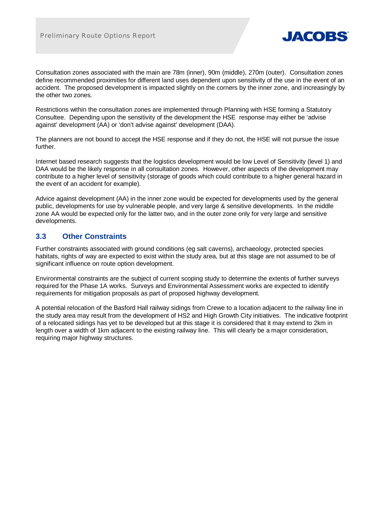

Consultation zones associated with the main are 78m (inner), 90m (middle), 270m (outer). Consultation zones define recommended proximities for different land uses dependent upon sensitivity of the use in the event of an accident. The proposed development is impacted slightly on the corners by the inner zone, and increasingly by the other two zones.

Restrictions within the consultation zones are implemented through Planning with HSE forming a Statutory Consultee. Depending upon the sensitivity of the development the HSE response may either be 'advise against' development (AA) or 'don't advise against' development (DAA).

The planners are not bound to accept the HSE response and if they do not, the HSE will not pursue the issue further.

Internet based research suggests that the logistics development would be low Level of Sensitivity (level 1) and DAA would be the likely response in all consultation zones. However, other aspects of the development may contribute to a higher level of sensitivity (storage of goods which could contribute to a higher general hazard in the event of an accident for example).

Advice against development (AA) in the inner zone would be expected for developments used by the general public, developments for use by vulnerable people, and very large & sensitive developments. In the middle zone AA would be expected only for the latter two, and in the outer zone only for very large and sensitive developments.

### **3.3 Other Constraints**

Further constraints associated with ground conditions (eg salt caverns), archaeology, protected species habitats, rights of way are expected to exist within the study area, but at this stage are not assumed to be of significant influence on route option development.

Environmental constraints are the subject of current scoping study to determine the extents of further surveys required for the Phase 1A works. Surveys and Environmental Assessment works are expected to identify requirements for mitigation proposals as part of proposed highway development.

A potential relocation of the Basford Hall railway sidings from Crewe to a location adjacent to the railway line in the study area may result from the development of HS2 and High Growth City initiatives. The indicative footprint of a relocated sidings has yet to be developed but at this stage it is considered that it may extend to 2km in length over a width of 1km adjacent to the existing railway line. This will clearly be a major consideration, requiring major highway structures.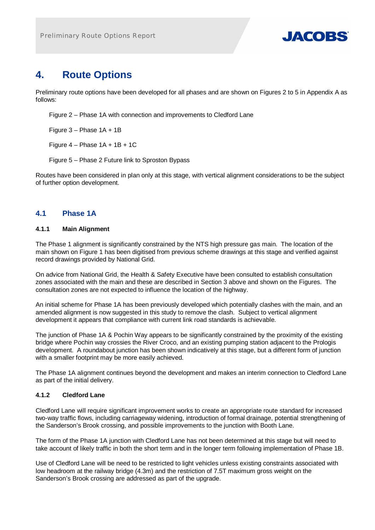

## **4. Route Options**

Preliminary route options have been developed for all phases and are shown on Figures 2 to 5 in Appendix A as follows:

Figure 2 – Phase 1A with connection and improvements to Cledford Lane

Figure 3 – Phase 1A + 1B

Figure  $4$  – Phase  $1A + 1B + 1C$ 

Figure 5 – Phase 2 Future link to Sproston Bypass

Routes have been considered in plan only at this stage, with vertical alignment considerations to be the subject of further option development.

#### **4.1 Phase 1A**

#### **4.1.1 Main Alignment**

The Phase 1 alignment is significantly constrained by the NTS high pressure gas main. The location of the main shown on Figure 1 has been digitised from previous scheme drawings at this stage and verified against record drawings provided by National Grid.

On advice from National Grid, the Health & Safety Executive have been consulted to establish consultation zones associated with the main and these are described in Section 3 above and shown on the Figures. The consultation zones are not expected to influence the location of the highway.

An initial scheme for Phase 1A has been previously developed which potentially clashes with the main, and an amended alignment is now suggested in this study to remove the clash. Subject to vertical alignment development it appears that compliance with current link road standards is achievable.

The junction of Phase 1A & Pochin Way appears to be significantly constrained by the proximity of the existing bridge where Pochin way crossies the River Croco, and an existing pumping station adjacent to the Prologis development. A roundabout junction has been shown indicatively at this stage, but a different form of junction with a smaller footprint may be more easily achieved.

The Phase 1A alignment continues beyond the development and makes an interim connection to Cledford Lane as part of the initial delivery.

#### **4.1.2 Cledford Lane**

Cledford Lane will require significant improvement works to create an appropriate route standard for increased two-way traffic flows, including carriageway widening, introduction of formal drainage, potential strengthening of the Sanderson's Brook crossing, and possible improvements to the junction with Booth Lane.

The form of the Phase 1A junction with Cledford Lane has not been determined at this stage but will need to take account of likely traffic in both the short term and in the longer term following implementation of Phase 1B.

Use of Cledford Lane will be need to be restricted to light vehicles unless existing constraints associated with low headroom at the railway bridge (4.3m) and the restriction of 7.5T maximum gross weight on the Sanderson's Brook crossing are addressed as part of the upgrade.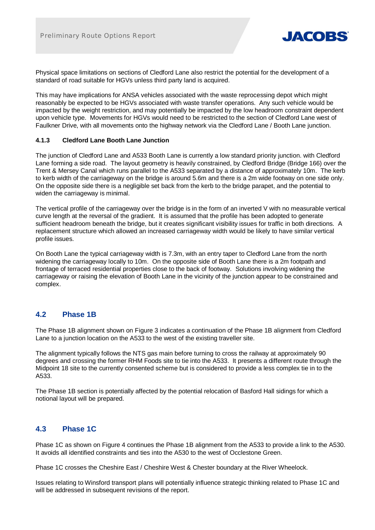Preliminary Route Options Report



Physical space limitations on sections of Cledford Lane also restrict the potential for the development of a standard of road suitable for HGVs unless third party land is acquired.

This may have implications for ANSA vehicles associated with the waste reprocessing depot which might reasonably be expected to be HGVs associated with waste transfer operations. Any such vehicle would be impacted by the weight restriction, and may potentially be impacted by the low headroom constraint dependent upon vehicle type. Movements for HGVs would need to be restricted to the section of Cledford Lane west of Faulkner Drive, with all movements onto the highway network via the Cledford Lane / Booth Lane junction.

#### **4.1.3 Cledford Lane Booth Lane Junction**

The junction of Cledford Lane and A533 Booth Lane is currently a low standard priority junction. with Cledford Lane forming a side road. The layout geometry is heavily constrained, by Cledford Bridge (Bridge 166) over the Trent & Mersey Canal which runs parallel to the A533 separated by a distance of approximately 10m. The kerb to kerb width of the carriageway on the bridge is around 5.6m and there is a 2m wide footway on one side only. On the opposite side there is a negligible set back from the kerb to the bridge parapet, and the potential to widen the carriageway is minimal.

The vertical profile of the carriageway over the bridge is in the form of an inverted V with no measurable vertical curve length at the reversal of the gradient. It is assumed that the profile has been adopted to generate sufficient headroom beneath the bridge, but it creates significant visibility issues for traffic in both directions. A replacement structure which allowed an increased carriageway width would be likely to have similar vertical profile issues.

On Booth Lane the typical carriageway width is 7.3m, with an entry taper to Cledford Lane from the north widening the carriageway locally to 10m. On the opposite side of Booth Lane there is a 2m footpath and frontage of terraced residential properties close to the back of footway. Solutions involving widening the carriageway or raising the elevation of Booth Lane in the vicinity of the junction appear to be constrained and complex.

### **4.2 Phase 1B**

The Phase 1B alignment shown on Figure 3 indicates a continuation of the Phase 1B alignment from Cledford Lane to a junction location on the A533 to the west of the existing traveller site.

The alignment typically follows the NTS gas main before turning to cross the railway at approximately 90 degrees and crossing the former RHM Foods site to tie into the A533. It presents a different route through the Midpoint 18 site to the currently consented scheme but is considered to provide a less complex tie in to the A533.

The Phase 1B section is potentially affected by the potential relocation of Basford Hall sidings for which a notional layout will be prepared.

### **4.3 Phase 1C**

Phase 1C as shown on Figure 4 continues the Phase 1B alignment from the A533 to provide a link to the A530. It avoids all identified constraints and ties into the A530 to the west of Occlestone Green.

Phase 1C crosses the Cheshire East / Cheshire West & Chester boundary at the River Wheelock.

Issues relating to Winsford transport plans will potentially influence strategic thinking related to Phase 1C and will be addressed in subsequent revisions of the report.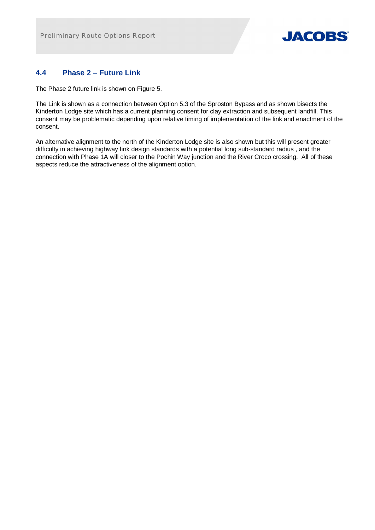

### **4.4 Phase 2 – Future Link**

The Phase 2 future link is shown on Figure 5.

The Link is shown as a connection between Option 5.3 of the Sproston Bypass and as shown bisects the Kinderton Lodge site which has a current planning consent for clay extraction and subsequent landfill. This consent may be problematic depending upon relative timing of implementation of the link and enactment of the consent.

An alternative alignment to the north of the Kinderton Lodge site is also shown but this will present greater difficulty in achieving highway link design standards with a potential long sub-standard radius , and the connection with Phase 1A will closer to the Pochin Way junction and the River Croco crossing. All of these aspects reduce the attractiveness of the alignment option.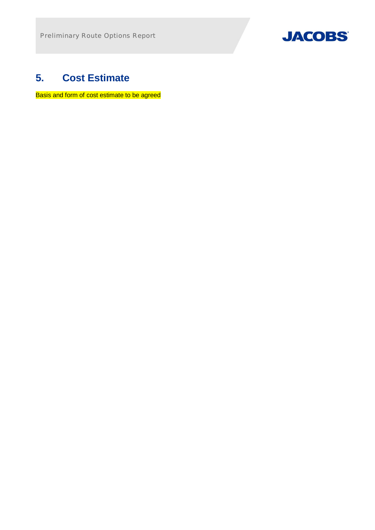

## **5. Cost Estimate**

Basis and form of cost estimate to be agreed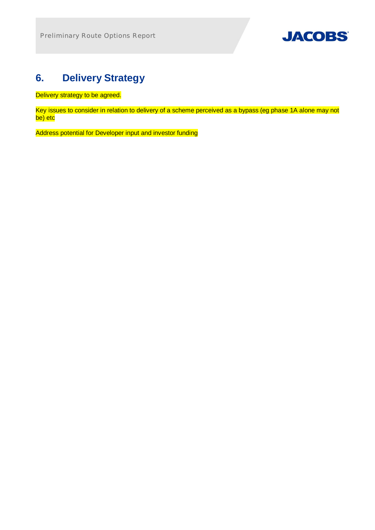

## **6. Delivery Strategy**

Delivery strategy to be agreed.

Key issues to consider in relation to delivery of a scheme perceived as a bypass (eg phase 1A alone may not be) etc

Address potential for Developer input and investor funding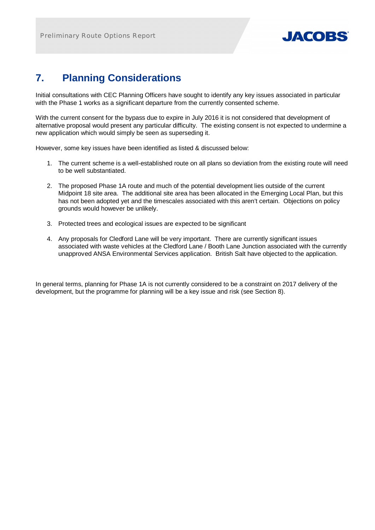Preliminary Route Options Report



## **7. Planning Considerations**

Initial consultations with CEC Planning Officers have sought to identify any key issues associated in particular with the Phase 1 works as a significant departure from the currently consented scheme.

With the current consent for the bypass due to expire in July 2016 it is not considered that development of alternative proposal would present any particular difficulty. The existing consent is not expected to undermine a new application which would simply be seen as superseding it.

However, some key issues have been identified as listed & discussed below:

- 1. The current scheme is a well-established route on all plans so deviation from the existing route will need to be well substantiated.
- 2. The proposed Phase 1A route and much of the potential development lies outside of the current Midpoint 18 site area. The additional site area has been allocated in the Emerging Local Plan, but this has not been adopted yet and the timescales associated with this aren't certain. Objections on policy grounds would however be unlikely.
- 3. Protected trees and ecological issues are expected to be significant
- 4. Any proposals for Cledford Lane will be very important. There are currently significant issues associated with waste vehicles at the Cledford Lane / Booth Lane Junction associated with the currently unapproved ANSA Environmental Services application. British Salt have objected to the application.

In general terms, planning for Phase 1A is not currently considered to be a constraint on 2017 delivery of the development, but the programme for planning will be a key issue and risk (see Section 8).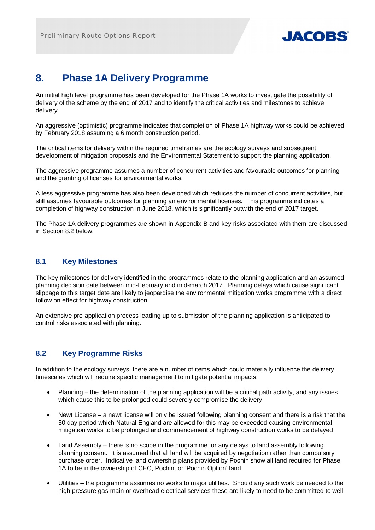

## **8. Phase 1A Delivery Programme**

An initial high level programme has been developed for the Phase 1A works to investigate the possibility of delivery of the scheme by the end of 2017 and to identify the critical activities and milestones to achieve delivery.

An aggressive (optimistic) programme indicates that completion of Phase 1A highway works could be achieved by February 2018 assuming a 6 month construction period.

The critical items for delivery within the required timeframes are the ecology surveys and subsequent development of mitigation proposals and the Environmental Statement to support the planning application.

The aggressive programme assumes a number of concurrent activities and favourable outcomes for planning and the granting of licenses for environmental works.

A less aggressive programme has also been developed which reduces the number of concurrent activities, but still assumes favourable outcomes for planning an environmental licenses. This programme indicates a completion of highway construction in June 2018, which is significantly outwith the end of 2017 target.

The Phase 1A delivery programmes are shown in Appendix B and key risks associated with them are discussed in Section 8.2 below.

### **8.1 Key Milestones**

The key milestones for delivery identified in the programmes relate to the planning application and an assumed planning decision date between mid-February and mid-march 2017. Planning delays which cause significant slippage to this target date are likely to jeopardise the environmental mitigation works programme with a direct follow on effect for highway construction.

An extensive pre-application process leading up to submission of the planning application is anticipated to control risks associated with planning.

### **8.2 Key Programme Risks**

In addition to the ecology surveys, there are a number of items which could materially influence the delivery timescales which will require specific management to mitigate potential impacts:

- Planning the determination of the planning application will be a critical path activity, and any issues which cause this to be prolonged could severely compromise the delivery
- Newt License a newt license will only be issued following planning consent and there is a risk that the 50 day period which Natural England are allowed for this may be exceeded causing environmental mitigation works to be prolonged and commencement of highway construction works to be delayed
- Land Assembly there is no scope in the programme for any delays to land assembly following planning consent. It is assumed that all land will be acquired by negotiation rather than compulsory purchase order. Indicative land ownership plans provided by Pochin show all land required for Phase 1A to be in the ownership of CEC, Pochin, or 'Pochin Option' land.
- Utilities the programme assumes no works to major utilities. Should any such work be needed to the high pressure gas main or overhead electrical services these are likely to need to be committed to well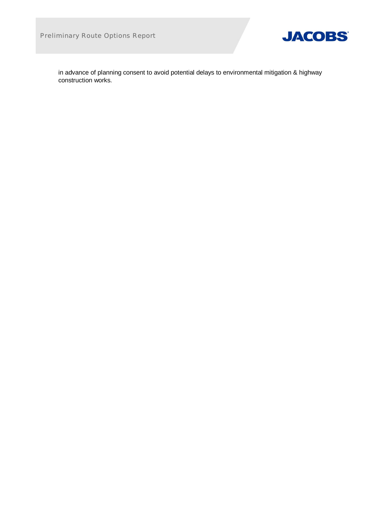Preliminary Route Options Report



in advance of planning consent to avoid potential delays to environmental mitigation & highway construction works.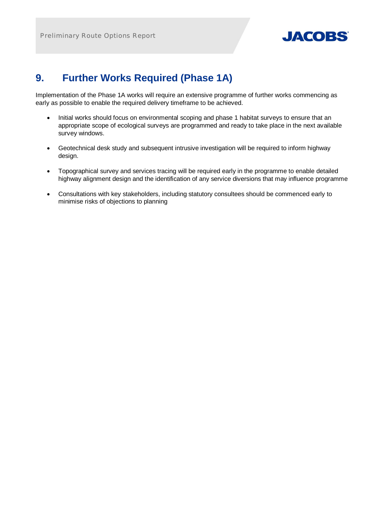Preliminary Route Options Report



## **9. Further Works Required (Phase 1A)**

Implementation of the Phase 1A works will require an extensive programme of further works commencing as early as possible to enable the required delivery timeframe to be achieved.

- Initial works should focus on environmental scoping and phase 1 habitat surveys to ensure that an appropriate scope of ecological surveys are programmed and ready to take place in the next available survey windows.
- Geotechnical desk study and subsequent intrusive investigation will be required to inform highway design.
- Topographical survey and services tracing will be required early in the programme to enable detailed highway alignment design and the identification of any service diversions that may influence programme
- Consultations with key stakeholders, including statutory consultees should be commenced early to minimise risks of objections to planning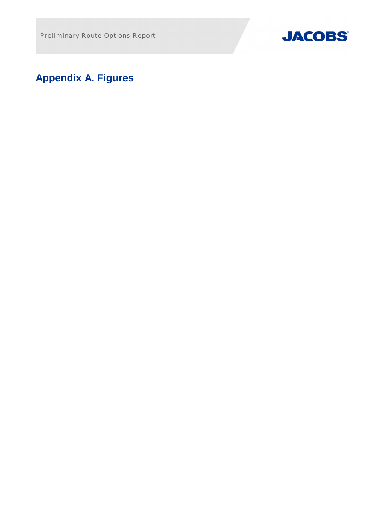

# **Appendix A. Figures**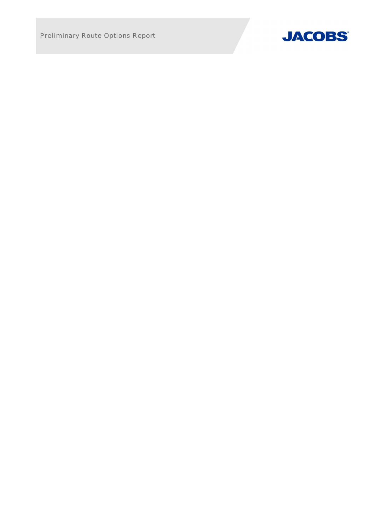